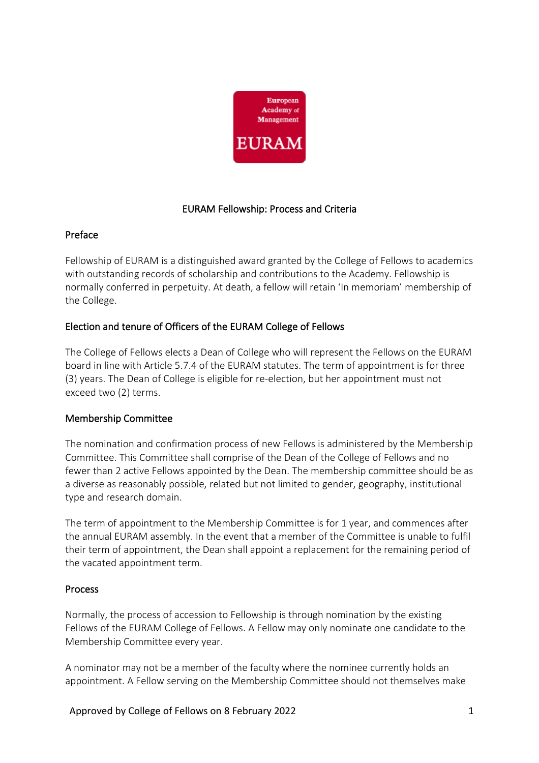

# EURAM Fellowship: Process and Criteria

#### Preface

Fellowship of EURAM is a distinguished award granted by the College of Fellows to academics with outstanding records of scholarship and contributions to the Academy. Fellowship is normally conferred in perpetuity. At death, a fellow will retain 'In memoriam' membership of the College.

# Election and tenure of Officers of the EURAM College of Fellows

The College of Fellows elects a Dean of College who will represent the Fellows on the EURAM board in line with Article 5.7.4 of the EURAM statutes. The term of appointment is for three (3) years. The Dean of College is eligible for re-election, but her appointment must not exceed two (2) terms.

## Membership Committee

The nomination and confirmation process of new Fellows is administered by the Membership Committee. This Committee shall comprise of the Dean of the College of Fellows and no fewer than 2 active Fellows appointed by the Dean. The membership committee should be as a diverse as reasonably possible, related but not limited to gender, geography, institutional type and research domain.

The term of appointment to the Membership Committee is for 1 year, and commences after the annual EURAM assembly. In the event that a member of the Committee is unable to fulfil their term of appointment, the Dean shall appoint a replacement for the remaining period of the vacated appointment term.

## Process

Normally, the process of accession to Fellowship is through nomination by the existing Fellows of the EURAM College of Fellows. A Fellow may only nominate one candidate to the Membership Committee every year.

A nominator may not be a member of the faculty where the nominee currently holds an appointment. A Fellow serving on the Membership Committee should not themselves make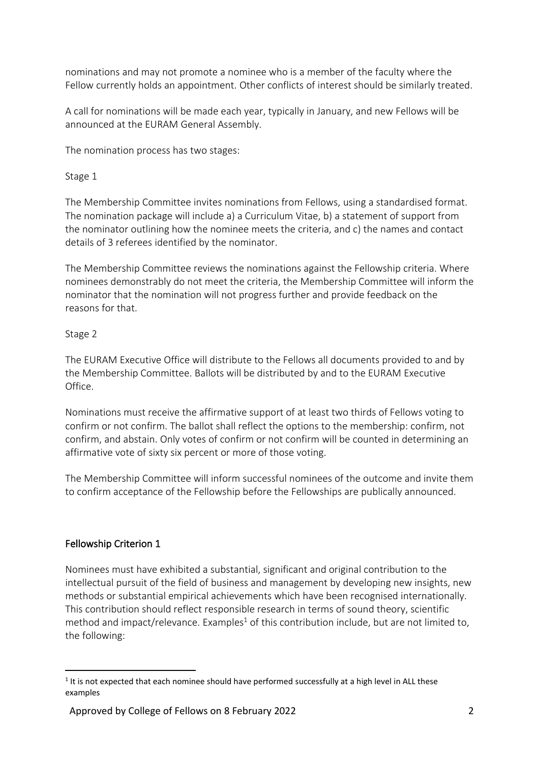nominations and may not promote a nominee who is a member of the faculty where the Fellow currently holds an appointment. Other conflicts of interest should be similarly treated.

A call for nominations will be made each year, typically in January, and new Fellows will be announced at the EURAM General Assembly.

The nomination process has two stages:

Stage 1

The Membership Committee invites nominations from Fellows, using a standardised format. The nomination package will include a) a Curriculum Vitae, b) a statement of support from the nominator outlining how the nominee meets the criteria, and c) the names and contact details of 3 referees identified by the nominator.

The Membership Committee reviews the nominations against the Fellowship criteria. Where nominees demonstrably do not meet the criteria, the Membership Committee will inform the nominator that the nomination will not progress further and provide feedback on the reasons for that.

# Stage 2

The EURAM Executive Office will distribute to the Fellows all documents provided to and by the Membership Committee. Ballots will be distributed by and to the EURAM Executive Office.

Nominations must receive the affirmative support of at least two thirds of Fellows voting to confirm or not confirm. The ballot shall reflect the options to the membership: confirm, not confirm, and abstain. Only votes of confirm or not confirm will be counted in determining an affirmative vote of sixty six percent or more of those voting.

The Membership Committee will inform successful nominees of the outcome and invite them to confirm acceptance of the Fellowship before the Fellowships are publically announced.

# Fellowship Criterion 1

Nominees must have exhibited a substantial, significant and original contribution to the intellectual pursuit of the field of business and management by developing new insights, new methods or substantial empirical achievements which have been recognised internationally. This contribution should reflect responsible research in terms of sound theory, scientific method and impact/relevance. Examples<sup>1</sup> of this contribution include, but are not limited to, the following:

 $<sup>1</sup>$  It is not expected that each nominee should have performed successfully at a high level in ALL these</sup> examples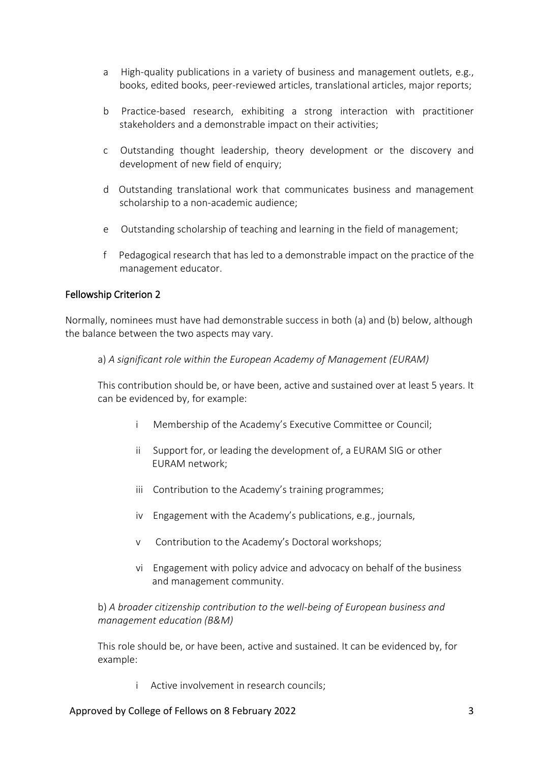- a High-quality publications in a variety of business and management outlets, e.g., books, edited books, peer-reviewed articles, translational articles, major reports;
- b Practice-based research, exhibiting a strong interaction with practitioner stakeholders and a demonstrable impact on their activities;
- c Outstanding thought leadership, theory development or the discovery and development of new field of enquiry;
- d Outstanding translational work that communicates business and management scholarship to a non-academic audience;
- e Outstanding scholarship of teaching and learning in the field of management;
- f Pedagogical research that has led to a demonstrable impact on the practice of the management educator.

#### Fellowship Criterion 2

Normally, nominees must have had demonstrable success in both (a) and (b) below, although the balance between the two aspects may vary.

a) *A significant role within the European Academy of Management (EURAM)*

This contribution should be, or have been, active and sustained over at least 5 years. It can be evidenced by, for example:

- i Membership of the Academy's Executive Committee or Council;
- ii Support for, or leading the development of, a EURAM SIG or other EURAM network;
- iii Contribution to the Academy's training programmes;
- iv Engagement with the Academy's publications, e.g., journals,
- v Contribution to the Academy's Doctoral workshops;
- vi Engagement with policy advice and advocacy on behalf of the business and management community.

## b) *A broader citizenship contribution to the well-being of European business and management education (B&M)*

This role should be, or have been, active and sustained. It can be evidenced by, for example:

i Active involvement in research councils;